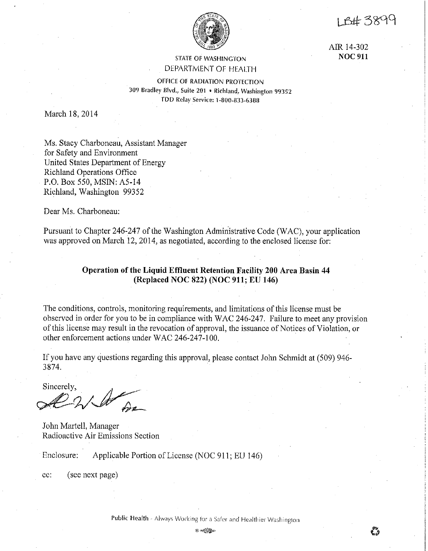18#3899

AIR 14-302 **NOC911** 



## STATE OF WASHINGTON DEPARTMENT OF HEALTH

OFHCE OF RADIATION PROTECTION 309 Bradley Blvd., Suite 201 • Richland, Washington 99352 TDD Relay Service: 1-800-833-6388

March 18, 2014

Ms. Stacy Charboneau, Assistant Manager for Safety and Environment United States Department of Energy Richland Operations Office P.O. Box 550, MSIN: A5-14 Richland, Washington 99352

Dear Ms. Charboneau:

Pursuant to Chapter 246-247 of the Washington Administrative Code (WAC), your application was approved on March 12, 2014, as negotiated, according to the enclosed license for:

# **Operation of the Liquid Effluent Retention Facility 200 Area Basin 44 (Replaced NOC 822) (NOC 911; EU 146)**

The conditions, controls, monitoring requirements, and limitations of this license must be observed in order for you to be in compliance with WAC 246-247. Failure to meet any provision of this license may result in the revocation of approval, the issuance of Notices of Violation, or other enforcement actions under WAC 246-247-100.

If you have any questions regarding this approval, please contact John Schmidt at (509) 946- 3874.

Sincerely,  $\mathbb{Z}$ ~9-.I *l).,z\_\_* 

John Martell, Manager Radioactive Air Emissions Section

Enclosure: Applicable Portion of License (NOC 911; EU 146)

cc: (see next page)

**Public Health** - Always Working for a Safer and **Healthier** Washington

 $@$  or  $@$   $@$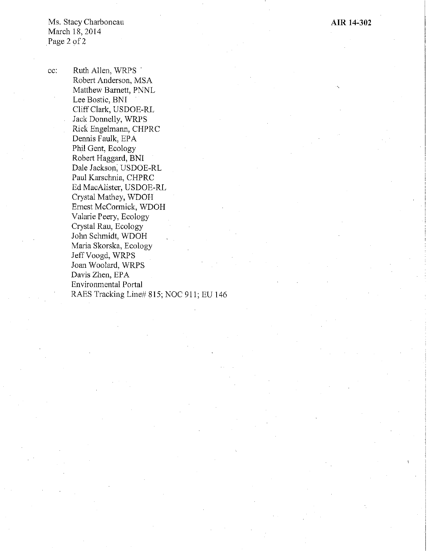Ms. Stacy Charboneau March 18, 2014 Page 2 of 2

cc: Ruth Allen, WRPS . Robert Anderson, MSA Matthew Barnett, PNNL Lee Bostic, BNI Cliff Clark, USDOE-RL Jack Donnelly, WRPS Rick Engelmann, CHPRC Dennis Faulk, EPA Phil Gent, Ecology Robert Haggard, BNI Dale Jackson, USDOE-RL Paul Karschnia, CHPRC Ed MacAlister, USDOE-RL Crystal Mathey, WDOH Ernest McConnick, WDOH Valarie Peery, Ecology Crystal Rau, Ecology John Schmidt, WDOH Maria Skorska, Ecology Jeff Voogd, WRPS Joan Woolard, WRPS Davis Zhen, EPA Environmental Portal RAES Tracking Line# 815; NOC 911; EU 146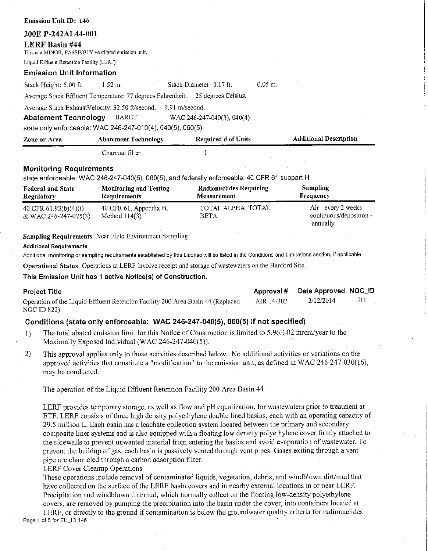| <b>Federal and State</b><br>Reculatory                                        | <b>Monitoring and Testing</b><br>Requirements                       | <b>Radionuclides Requiring</b><br>Measurement                                                 |           | <b>Sampling</b><br>Frequency  |
|-------------------------------------------------------------------------------|---------------------------------------------------------------------|-----------------------------------------------------------------------------------------------|-----------|-------------------------------|
| <b>Monitoring Requirements</b>                                                |                                                                     | state enforceable: WAC 246-247-040(5), 060(5), and federally enforceable: 40 CFR 61 subpart H |           |                               |
|                                                                               | Charcoal filter                                                     |                                                                                               |           |                               |
| Zone or Area                                                                  | <b>Abatement Technology</b>                                         | Required $#$ of Units                                                                         |           | <b>Additional Description</b> |
| <b>Abatement Technology</b>                                                   | BARCT<br>state only enforceable: WAC 246-247-010(4), 040(5), 060(5) | WAC 246-247-040(3), 040(4)                                                                    |           |                               |
|                                                                               | Average Stack ExhaustVelocity: 32.50 ft/second.                     | 9.91 m/second.                                                                                |           |                               |
|                                                                               |                                                                     | Average Stack Effluent Temperature: 77 degrees Fahrenheit. 25 degrees Celsius.                |           |                               |
| Stack Height: 5.00 ft.                                                        | 1.52 m.                                                             | Stack Diameter 0.17 ft.                                                                       | $0.05$ m. |                               |
| <b>Emission Unit Information</b>                                              |                                                                     |                                                                                               |           |                               |
| Liquid Effluent Retention Facility (LERF).                                    |                                                                     |                                                                                               |           |                               |
| <b>LERF Basin #44</b><br>This is a MINOR, PASSIVELY ventilated emission unit. |                                                                     |                                                                                               |           |                               |
| 200E P-242AL44-001                                                            |                                                                     |                                                                                               |           |                               |
|                                                                               |                                                                     |                                                                                               |           |                               |

| Regulatory                                      | <b>Requirements</b>                       | <b>Measurement</b>        | Frequency                                                  |
|-------------------------------------------------|-------------------------------------------|---------------------------|------------------------------------------------------------|
| 40 CFR $61.93(b)(4)(i)$<br>& WAC 246-247-075(3) | 40 CFR 61, Appendix B,<br>Method $114(3)$ | TOTAL ALPHA TOTAL<br>BETA | Air - every 2 weeks<br>continuous/deposition -<br>annually |

### **Sampling Requirements** Near Field Environment Sampling

#### **Additional Requirements**

**Emission Unit** ID: 146

Additional monitoring or sampling requirements established by this License will be listed in the Conditions and Limitations section, if applicable.

**operational Status** Operations at LERF involve receipt and storage ofwastewaters on the Hanford Site.

#### **This Emission Unit has 1 active Notice(s) of Construction.**

| <b>Project Title</b>                                                            |            | Approval # Date Approved NOC_ID |      |
|---------------------------------------------------------------------------------|------------|---------------------------------|------|
| Operation of the Liquid Effluent Retention Facility 200 Area Basin 44 (Replaced | AIR 14-302 | 3/12/2014                       | -911 |
| NOC ID 822).                                                                    |            |                                 |      |

### **Conditions (state only enforceable: WAC 246-247-040(5), 060(5) if not specified)**

- 1) The total abated emission limit for this Notice of Construction is limited to 5.96E-02 mrem/year to the Maximally Exposed Individual (WAC 246-247-040(5)).
- 2) This approval applies only to those activities described below. No additional activities or variations on the approved activities that constitute a "modification" to the emission unit, as defined in WAC 246-247-030(16), may be conducted.

The operation of the Liquid Effluent Retention Facility 200 Area Basin 44

LERF provides temporary storage, as well as flow and pH equalization, for wastewaters prior to treatment at ETF. LERF consists of three high density polyethylene double lined basins, each with an operating capacity of 29.5 million L. Each basin has a leachate collection system located between the primary and secondary composite liner systems and is also equipped with a floating low density polyethylene cover firmly attached to the sidewalls to prevent unwanted material from entering the basins and avoid evaporation of wastewater. To prevent the buildup of gas, each basin is passively vented through vent pipes. Gases exiting through a vent pipe are channeled throngh a carbon adsorption filter.

### LERF Cover Cleanup Operations

These operations include removal of contaminated liquids, vegetation, debris, and windblown dirt/mud that have collected on the surface of the LERF basin covers and in nearby external locations in or near LERF. Precipitation and windblown dirt/mud, which normally collect on the floating low-density polyethylene covers, are removed by pumping the precipitation into the basin under the cover, into containers located at

LERF, or directly to the ground if contamination is below the groundwater quality criteria for radionuclides Page 1 of 5 for EU\_ID 146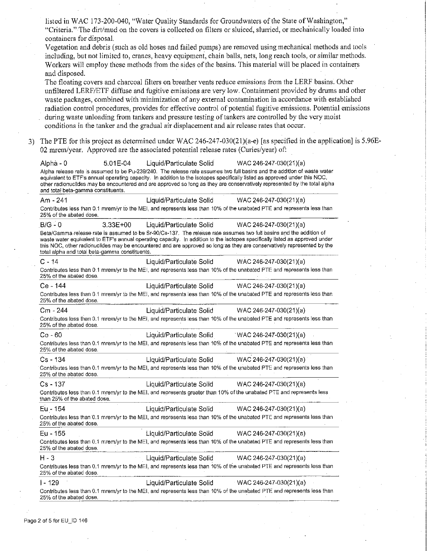listed in WAC 173-200-040, "Water Quality Standards for Groundwaters of the State of Washington," "Criteria." The dirt/mud on the covers is collected on filters or sluiced, slun-ied, or mechanically loaded into containers for disposal. Vegetation and debris (such as old hoses and failed pumps) are removed using mechanical methods and tools including, but not limited to, cranes, heavy equipment, chain balls, nets, long reach tools, or similar methods. Workers will employ these methods from the sides of the basins. This material will be placed in containers and disposed. The floating covers and charcoal filters on breather vents reduce emissions from the LERF basins. Other unfiltered LERF/ETF diffuse and fugitive emissions are very low. Containment provided by drums and other waste packages, combined with minimization of any external contamination in accordance with established radiation control procedures, provides for effective control of potential fugitive emissions. Potential emissions during waste unloading from tankers and pressure testing of tankers are controlled by the very moist conditions in the tanker and the gradual air displacement and air release rates that occur. 3) The PTE for this project as determined under WAC 246-247-030(21)(a-e) [as specified in the application] is 5.96E-02 mrem/year. Approved are the associated potential release rates (Curies/year) of: Alpha - 0 5.01 E-04 Liquid/Particulate Solid WAC 246-247-030(21)(a) Alpha release rate is assumed to be Pu-239/240. The release rate assumes two full basins and the addition of waste water equivalent to ETF's annual operating capacity. In addition to the isotopes specifically listed as approved under this NOC, other radionuclldes may be encountered and are approved so long as they are conservatively represented by the total alpha and total beta-gamma constituents. Am -241 Liquid/Particulate Solid WAC 246-247-030(21 )(a) Contributes less than 0.1 mrem/yr to the MEI, and represents less than 10% of the unabated PTE and represents less than 25% of the abated dose. B/G - 0 3.33E+OO Liquid/Particulate Solid WAC 246-247-030(21)(a) Beta/Gamma release rate is assumed to be Sr·90/Cs·137. The release rate assumes two full basins and the addition of waste water equivalent to ETF's annual operating capacity. In addition to the isotopes specifically listed as approved under this NOC, other radionuclides may be encountered and are approved so long as they are conservatively represented by the total alpha and total beta-gamma constituents. C - 14 Liquid/Particulate Solid WAC 246-247-030(21 )(a) Contributes less than 0.1 mrem/yr to the MEI, and represents less than 10% of the unabated PTE and represents less than 25% of the abated dose. Ce - 144 Liquid/Particulate Solid WAC 246-247-030(21 )(a) Contributes less than 0. 1 mrem/yr to the MEI, and represents less than 10% of the unabated PTE and represents less than 25% of the abated dose. Cm - 244 Liquid/Particulate Solid WAC 246-247-030(21 )(a) Contributes less than 0.1 mrem/yr to the MEL and represents less than 10% of the unabated PTE and represents less than 25% of the abated dose. Co-60 Liquid/Particulate Solid . WAC 246-247-030(21 )(a) Contributes less than 0.1 mrem/yr to the MEI, and represents less than 10% of the unabated PTE and represents less than 25% of the abated dose. Cs - 134 Liquid/Particulate Solid WAC 246-247-030(21 )(a) Contributes less than 0.1 mrem/yr to the MEI, and represents less than 10% of the unabated PTE and represents less than 25% of the abated dose. Cs - 137 Liquid/Particulate Solid WAC 246-247-030(21 )(a) Contributes less than 0.1 mrem/yr to the MEI, and represents greater than 10% of the unabated PTE and represents less than 25% of the abated dose. Eu - 154 Liquid/Particulate Solid WAC 246-247-030(21 )(a) Contributes less than 0.1 mrem/yr to the MEI, and represents less than 10% of the unabated PTE and represents less than 25% of the abated dose. E.u -155 Liquid/Particulate Solid WAC 246-247-030(21 )(a) Contributes less than 0.1 mrem/yr to the MEI, and represents less than 10% of the unabated PTE and represents less than 25% of the abated dose. H-3 Liquid/Particulate Solid WAC 246-247-030(21 )( a) Contributes less than 0.1 mrem/yr to the MEI, and represents less than 10% of the unabated PTE and represents less than 25% of the abated dose. I - 129 Liquid/Particulate Solid WAC 246-247-030(21 )(a) Contributes less than 0.1 mrem/yr to the MEI, and represents less than 10% of the unabated PTE and represents less than 25% of the abated dose.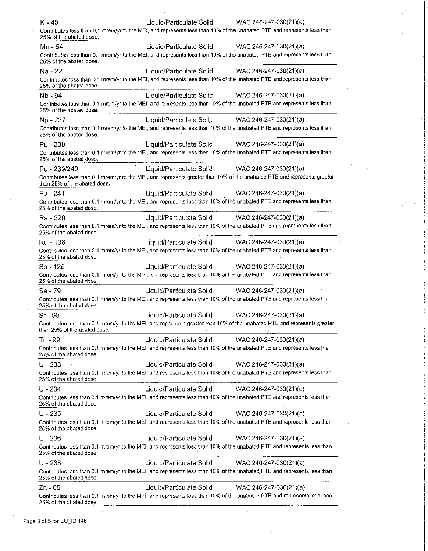| WAC 246-247-030(21)(a)<br>Mn - 54<br>Liquid/Particulate Solid<br>Contributes less than 0.1 mrem/yr to the MEI, and represents less than 10% of the unabated PTE and represents less than |  |
|------------------------------------------------------------------------------------------------------------------------------------------------------------------------------------------|--|
|                                                                                                                                                                                          |  |
| 25% of the abated dose.                                                                                                                                                                  |  |
| Liquid/Particulate Solid<br>WAC 246-247-030(21)(a)<br>Na - 22                                                                                                                            |  |
| Contributes less than 0.1 mrem/yr to the MEI, and represents less than 10% of the unabated PTE and represents less than<br>25% of the abated dose.                                       |  |
| Nb - 94<br>Liquid/Particulate Solid<br>WAC 246-247-030(21)(a)                                                                                                                            |  |
| Contributes less than 0.1 mrem/yr to the MEI, and represents less than 10% of the unabated PTE and represents less than<br>25% of the abated dose.                                       |  |
| Liquid/Particulate Solid<br>WAC 246-247-030(21)(a)<br>Np - 237                                                                                                                           |  |
| Contributes less than 0.1 mrem/yr to the MEI, and represents less than 10% of the unabated PTE and represents less than<br>25% of the abated dose.                                       |  |
| Liquid/Particulate Solid<br>WAC 246-247-030(21)(a)<br>Pu - 238                                                                                                                           |  |
| Contributes less than 0.1 mrem/yr to the MEI, and represents less than 10% of the unabated PTE and represents less than<br>25% of the abated dose.                                       |  |
| Liquid/Particulate Solid<br>WAC 246-247-030(21)(a)<br>Pu - 239/240                                                                                                                       |  |
| Contributes less than 0.1 mrem/yr to the MEI, and represents greater than 10% of the unabated PTE and represents greater<br>than 25% of the abated dose.                                 |  |
| Liquid/Particulate Solid WAC 246-247-030(21)(a)<br>Pu - 241                                                                                                                              |  |
| Contributes less than 0.1 mrem/yr to the MEI, and represents less than 10% of the unabated PTE and represents less than<br>25% of the abated dose.                                       |  |
| Liquid/Particulate Solid WAC 246-247-030(21)(a)<br>Ra - 226                                                                                                                              |  |
| Contributes less than 0.1 mrem/yr to the MEI, and represents less than 10% of the unabated PTE and represents less than<br>25% of the abated dose.                                       |  |
| Liquid/Particulate Solid<br>Ru - 106<br>WAC 246-247-030(21)(a)                                                                                                                           |  |
| Contributes less than 0.1 mrem/yr to the MEI, and represents less than 10% of the unabated PTE and represents less than<br>25% of the abated dose.                                       |  |
| $Sb - 125$<br>Liquid/Particulate Solid<br>WAC 246-247-030(21)(a)                                                                                                                         |  |
| Contributes less than 0.1 mrem/yr to the MEI, and represents less than 10% of the unabated PTE and represents less than<br>25% of the abated dose.                                       |  |
| Se - 79<br>Liquid/Particulate Solid<br>WAC 246-247-030(21)(a)                                                                                                                            |  |
| Contributes less than 0.1 mrem/yr to the MEI, and represents less than 10% of the unabated PTE and represents less than<br>25% of the abated dose.                                       |  |
| $Sr - 90$<br>Liquid/Particulate Solid<br>WAC 246-247-030(21)(a)                                                                                                                          |  |
| Contributes less than 0.1 mrem/yr to the MEI, and represents greater than 10% of the unabated PTE and represents greater<br>than 25% of the abated dose.                                 |  |
| Liquid/Particulate Solid<br>Tc - 99<br>WAC 246-247-030(21)(a)                                                                                                                            |  |
| Contributes less than 0.1 mrem/yr to the MEI, and represents less than 10% of the unabated PTE and represents less than<br>25% of the abated dose.                                       |  |
| $U - 233$<br>Liquid/Particulate Solid<br>WAC 246-247-030(21)(a)                                                                                                                          |  |
| Contributes less than 0.1 mrem/yr to the MEI, and represents less than 10% of the unabated PTE and represents less than<br>25% of the abated dose.                                       |  |
| $U - 234$<br>Liquid/Particulate Solid<br>WAC 246-247-030(21)(a)                                                                                                                          |  |
| Contributes less than 0.1 mrem/yr to the MEI, and represents less than 10% of the unabated PTE and represents less than<br>25% of the abated dose.                                       |  |
| $U - 235$<br>Liquid/Particulate Solid<br>WAC 246-247-030(21)(a)                                                                                                                          |  |
| Contributes less than 0.1 mrem/yr to the MEI, and represents less than 10% of the unabated PTE and represents less than<br>25% of the abated dose.                                       |  |
| $U - 236$<br>Liquid/Particulate Solid<br>WAC 246-247-030(21)(a)                                                                                                                          |  |
| Contributes less than 0.1 mrem/yr to the MEI, and represents less than 10% of the unabated PTE and represents less than<br>25% of the abated dose.                                       |  |
| $U - 238$<br>WAC 246-247-030(21)(a)<br>Liquid/Particulate Solid                                                                                                                          |  |
| Contributes less than 0.1 mrem/yr to the MEI, and represents less than 10% of the unabated PTE and represents less than<br>25% of the abated dose.                                       |  |
| $Zn - 65$<br>Liquid/Particulate Solid<br>WAC 246-247-030(21)(a)                                                                                                                          |  |
| Contributes less than 0.1 mrem/yr to the MEI, and represents less than 10% of the unabated PTE and represents less than<br>25% of the abated dose.                                       |  |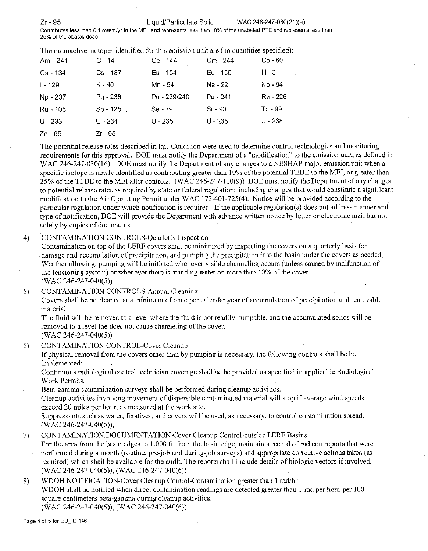Zr - 95 Liquid/Particulate Solid WAC 246-247-030(21 )(a)

Contributes less than 0.1 mrem/yr to the MEI, and represents less than 10% of the unabated PTE and represents less than <br>25% of the abated dose. 25% **of the abated dose.** 

| Am - 241   | $C - 14$   | Ce - 144     | Cm - 244   | $Co - 60$ |
|------------|------------|--------------|------------|-----------|
| $Cs - 134$ | $Cs - 137$ | Eu - 154     | $Eu - 155$ | H - 3     |
| l - 129    | K - 40     | Mn - 54      | Na - 22    | Nb - 94   |
| Np - 237   | Pu - 238   | Pu - 239/240 | Pu - 241   | Ra - 226  |
| Ru - 106   | Sb - 125   | Se - 79      | $Sr-90$    | Tc - 99   |
| $U - 233$  | $U - 234$  | $U - 235$    | $U - 236$  | U - 238   |
| Zn - 65    | Zr - 95    |              |            |           |

The potential release rates described in this Condition were used to determine control technologies and monitoring requirements for this approval. DOE must notify the Department of a "modification" to the emission unit, as defined in WAC 246-247-030(16). DOE must notify the Department of any changes to a NESHAP major emission unit when a specific isotope is newly identified as contributing greater than 10% of the potential TEDE to the MEI, or greater than 25% of the TEDE to the MEI after controls. (WAC 246-247-110(9)) DOE must notify the Department of any changes to potential release rates as required by state or federal regulations including changes that would constitute a significant modification to the Air Operating Permit under WAC 173-401-725(4). Notice will be provided according to the particular regulation under which notification is required. If the applicable regulation(s) does not address manner and type of notification, DOE will provide the Department with advance written notice by letter or electronic mail but not solely by copies of documents.

### 4) CONTAMINATION CONTROLS-Quarterly Inspection

Contamination on top of the LERF covers shall be minimized by inspecting the covers on a quarterly basis for damage and accumulation of precipitation, and pumping the precipitation into the basin under the covers as needed, Weather allowing, pumping will be initiated whenever visible channeling occurs (unless caused by malfonction of **the tensioning system) or whenever there is standing water on more than 10% of the cover.**  (WAC 246-247-040(5))

5) CONTAMINATION CONTROLS-Annual Cleaning

Covers shall be be cleaned at a minimum of once per calendar year of accumulation of precipitation and removable material.

The fluid will be removed to a level where the fluid is not readily pumpable, and the accumulated solids will be removed to a level the does not cause channeling of the cover.

(WAC 246-247-040(5))

6) CONTAMINATION CONTROL-Cover Cleanup

If physical removal from the covers other than by pumping is necessary, the following controls shall be be implemented:

Continuous radiological control technician coverage shall be be provided as specified in applicable Radiological Work Permits.

Beta-gamma contamination surveys shall be performed during cleanup activities.

Cleanup activities involving movement of dispersible contaminated material will stop if average wind speeds exceed 20 miles per hour, as measured at the work site.

Suppressants such as water, fixatives, and covers will be used, as necessary, to control contamination spread. (WAC 246-247-040(5)),

## 7) CONTAMINATION DOCUMENTATION-Cover Cleanup Control-outside LERF Basins

For the area from the basin edges to 1,000 ft. from the basin edge, maintain a record ofrad con reports that were perfonned during a month (routine, pre-job and during-job surveys) and appropriate corrective actions taken (as required) which shall be available for the audit. The reports shall include details of biologic vectors if involved. (WAC 246-247-040(5)), (WAC 246-247-040(6))

## 8) WDOH NOTIFICATION-Cover Cleanup Control-Contamination greater than I rad/hr

WDOH shall be notified when direct contamination readings are detected greater than 1 rad per hour per 100 square centimeters beta-gamma during cleanup activities.

(WAC 246-247-040(5)), (WAC 246-247-040(6))